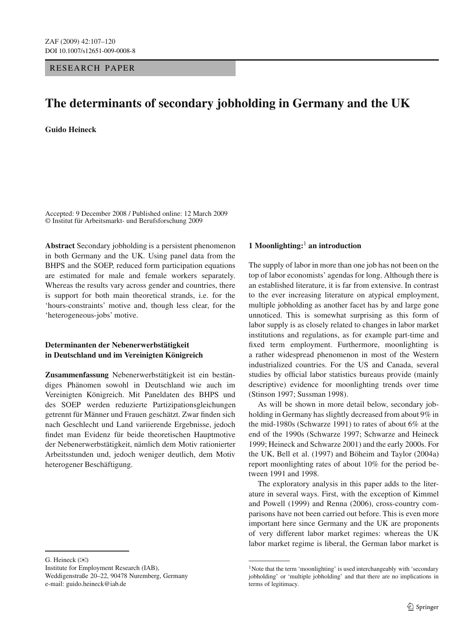RESEARCH PAPER

# **The determinants of secondary jobholding in Germany and the UK**

**Guido Heineck**

Accepted: 9 December 2008 / Published online: 12 March 2009 © Institut für Arbeitsmarkt- und Berufsforschung 2009

**Abstract** Secondary jobholding is a persistent phenomenon in both Germany and the UK. Using panel data from the BHPS and the SOEP, reduced form participation equations are estimated for male and female workers separately. Whereas the results vary across gender and countries, there is support for both main theoretical strands, i.e. for the 'hours-constraints' motive and, though less clear, for the 'heterogeneous-jobs' motive.

# **Determinanten der Nebenerwerbstätigkeit in Deutschland und im Vereinigten Königreich**

**Zusammenfassung** Nebenerwerbstätigkeit ist ein beständiges Phänomen sowohl in Deutschland wie auch im Vereinigten Königreich. Mit Paneldaten des BHPS und des SOEP werden reduzierte Partizipationsgleichungen getrennt für Männer und Frauen geschätzt. Zwar finden sich nach Geschlecht und Land variierende Ergebnisse, jedoch findet man Evidenz für beide theoretischen Hauptmotive der Nebenerwerbstätigkeit, nämlich dem Motiv rationierter Arbeitsstunden und, jedoch weniger deutlich, dem Motiv heterogener Beschäftigung.

# **1 Moonlighting:**<sup>1</sup> **an introduction**

The supply of labor in more than one job has not been on the top of labor economists' agendas for long. Although there is an established literature, it is far from extensive. In contrast to the ever increasing literature on atypical employment, multiple jobholding as another facet has by and large gone unnoticed. This is somewhat surprising as this form of labor supply is as closely related to changes in labor market institutions and regulations, as for example part-time and fixed term employment. Furthermore, moonlighting is a rather widespread phenomenon in most of the Western industrialized countries. For the US and Canada, several studies by official labor statistics bureaus provide (mainly descriptive) evidence for moonlighting trends over time (Stinson 1997; Sussman 1998).

As will be shown in more detail below, secondary jobholding in Germany has slightly decreased from about 9% in the mid-1980s (Schwarze 1991) to rates of about 6% at the end of the 1990s (Schwarze 1997; Schwarze and Heineck 1999; Heineck and Schwarze 2001) and the early 2000s. For the UK, Bell et al. (1997) and Böheim and Taylor (2004a) report moonlighting rates of about 10% for the period between 1991 and 1998.

The exploratory analysis in this paper adds to the literature in several ways. First, with the exception of Kimmel and Powell (1999) and Renna (2006), cross-country comparisons have not been carried out before. This is even more important here since Germany and the UK are proponents of very different labor market regimes: whereas the UK labor market regime is liberal, the German labor market is

G. Heineck ( $\otimes$ )

Institute for Employment Research (IAB), Weddigenstraße 20–22, 90478 Nuremberg, Germany e-mail: guido.heineck@iab.de

<sup>&</sup>lt;sup>1</sup>Note that the term 'moonlighting' is used interchangeably with 'secondary jobholding' or 'multiple jobholding' and that there are no implications in terms of legitimacy.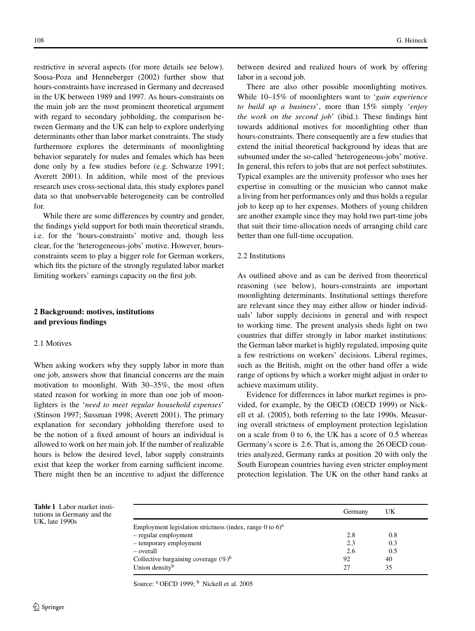restrictive in several aspects (for more details see below). Sousa-Poza and Henneberger (2002) further show that hours-constraints have increased in Germany and decreased in the UK between 1989 and 1997. As hours-constraints on the main job are the most prominent theoretical argument with regard to secondary jobholding, the comparison between Germany and the UK can help to explore underlying determinants other than labor market constraints. The study furthermore explores the determinants of moonlighting behavior separately for males and females which has been done only by a few studies before (e.g. Schwarze 1991; Averett 2001). In addition, while most of the previous research uses cross-sectional data, this study explores panel data so that unobservable heterogeneity can be controlled for.

While there are some differences by country and gender, the findings yield support for both main theoretical strands, i.e. for the 'hours-constraints' motive and, though less clear, for the 'heterogeneous-jobs' motive. However, hoursconstraints seem to play a bigger role for German workers, which fits the picture of the strongly regulated labor market limiting workers' earnings capacity on the first job.

# **2 Background: motives, institutions and previous findings**

# 2.1 Motives

When asking workers why they supply labor in more than one job, answers show that financial concerns are the main motivation to moonlight. With 30–35%, the most often stated reason for working in more than one job of moonlighters is the '*need to meet regular household expenses*' (Stinson 1997; Sussman 1998; Averett 2001). The primary explanation for secondary jobholding therefore used to be the notion of a fixed amount of hours an individual is allowed to work on her main job. If the number of realizable hours is below the desired level, labor supply constraints exist that keep the worker from earning sufficient income. There might then be an incentive to adjust the difference between desired and realized hours of work by offering labor in a second job.

There are also other possible moonlighting motives. While 10–15% of moonlighters want to '*gain experience to build up a business*', more than 15% simply '*enjoy the work on the second job*' (ibid.). These findings hint towards additional motives for moonlighting other than hours-constraints. There consequently are a few studies that extend the initial theoretical background by ideas that are subsumed under the so-called 'heterogeneous-jobs' motive. In general, this refers to jobs that are not perfect substitutes. Typical examples are the university professor who uses her expertise in consulting or the musician who cannot make a living from her performances only and thus holds a regular job to keep up to her expenses. Mothers of young children are another example since they may hold two part-time jobs that suit their time-allocation needs of arranging child care better than one full-time occupation.

# 2.2 Institutions

As outlined above and as can be derived from theoretical reasoning (see below), hours-constraints are important moonlighting determinants. Institutional settings therefore are relevant since they may either allow or hinder individuals' labor supply decisions in general and with respect to working time. The present analysis sheds light on two countries that differ strongly in labor market institutions: the German labor market is highly regulated, imposing quite a few restrictions on workers' decisions. Liberal regimes, such as the British, might on the other hand offer a wide range of options by which a worker might adjust in order to achieve maximum utility.

Evidence for differences in labor market regimes is provided, for example, by the OECD (OECD 1999) or Nickell et al. (2005), both referring to the late 1990s. Measuring overall strictness of employment protection legislation on a scale from 0 to 6, the UK has a score of 0.5 whereas Germany's score is 2.6. That is, among the 26 OECD countries analyzed, Germany ranks at position 20 with only the South European countries having even stricter employment protection legislation. The UK on the other hand ranks at

**Table 1** Labor market institutions in Germany and the UK, late 1990s

|                                                             | Germany | UK  |  |
|-------------------------------------------------------------|---------|-----|--|
| Employment legislation strictness (index, range 0 to $63$ ) |         |     |  |
| - regular employment                                        | 2.8     | 0.8 |  |
| - temporary employment                                      | 2.3     | 0.3 |  |
| – overall                                                   | 2.6     | 0.5 |  |
| Collective bargaining coverage $(\%)^b$                     | 92      | 40  |  |
| Union density <sup>b</sup>                                  | 27      | 35  |  |

Source: <sup>a</sup> OECD 1999; <sup>b</sup> Nickell et al. 2005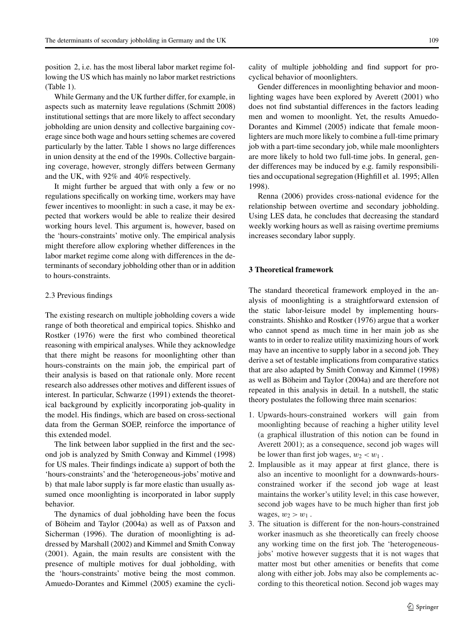position 2, i.e. has the most liberal labor market regime following the US which has mainly no labor market restrictions (Table 1).

While Germany and the UK further differ, for example, in aspects such as maternity leave regulations (Schmitt 2008) institutional settings that are more likely to affect secondary jobholding are union density and collective bargaining coverage since both wage and hours setting schemes are covered particularly by the latter. Table 1 shows no large differences in union density at the end of the 1990s. Collective bargaining coverage, however, strongly differs between Germany and the UK, with 92% and 40% respectively.

It might further be argued that with only a few or no regulations specifically on working time, workers may have fewer incentives to moonlight: in such a case, it may be expected that workers would be able to realize their desired working hours level. This argument is, however, based on the 'hours-constraints' motive only. The empirical analysis might therefore allow exploring whether differences in the labor market regime come along with differences in the determinants of secondary jobholding other than or in addition to hours-constraints.

# 2.3 Previous findings

The existing research on multiple jobholding covers a wide range of both theoretical and empirical topics. Shishko and Rostker (1976) were the first who combined theoretical reasoning with empirical analyses. While they acknowledge that there might be reasons for moonlighting other than hours-constraints on the main job, the empirical part of their analysis is based on that rationale only. More recent research also addresses other motives and different issues of interest. In particular, Schwarze (1991) extends the theoretical background by explicitly incorporating job-quality in the model. His findings, which are based on cross-sectional data from the German SOEP, reinforce the importance of this extended model.

The link between labor supplied in the first and the second job is analyzed by Smith Conway and Kimmel (1998) for US males. Their findings indicate a) support of both the 'hours-constraints' and the 'heterogeneous-jobs' motive and b) that male labor supply is far more elastic than usually assumed once moonlighting is incorporated in labor supply behavior.

The dynamics of dual jobholding have been the focus of Böheim and Taylor (2004a) as well as of Paxson and Sicherman (1996). The duration of moonlighting is addressed by Marshall (2002) and Kimmel and Smith Conway (2001). Again, the main results are consistent with the presence of multiple motives for dual jobholding, with the 'hours-constraints' motive being the most common. Amuedo-Dorantes and Kimmel (2005) examine the cyclicality of multiple jobholding and find support for procyclical behavior of moonlighters.

Gender differences in moonlighting behavior and moonlighting wages have been explored by Averett (2001) who does not find substantial differences in the factors leading men and women to moonlight. Yet, the results Amuedo-Dorantes and Kimmel (2005) indicate that female moonlighters are much more likely to combine a full-time primary job with a part-time secondary job, while male moonlighters are more likely to hold two full-time jobs. In general, gender differences may be induced by e.g. family responsibilities and occupational segregation (Highfill et al. 1995; Allen 1998).

Renna (2006) provides cross-national evidence for the relationship between overtime and secondary jobholding. Using LES data, he concludes that decreasing the standard weekly working hours as well as raising overtime premiums increases secondary labor supply.

# **3 Theoretical framework**

The standard theoretical framework employed in the analysis of moonlighting is a straightforward extension of the static labor-leisure model by implementing hoursconstraints. Shishko and Rostker (1976) argue that a worker who cannot spend as much time in her main job as she wants to in order to realize utility maximizing hours of work may have an incentive to supply labor in a second job. They derive a set of testable implications from comparative statics that are also adapted by Smith Conway and Kimmel (1998) as well as Böheim and Taylor (2004a) and are therefore not repeated in this analysis in detail. In a nutshell, the static theory postulates the following three main scenarios:

- 1. Upwards-hours-constrained workers will gain from moonlighting because of reaching a higher utility level (a graphical illustration of this notion can be found in Averett 2001); as a consequence, second job wages will be lower than first job wages,  $w_2 < w_1$ .
- 2. Implausible as it may appear at first glance, there is also an incentive to moonlight for a downwards-hoursconstrained worker if the second job wage at least maintains the worker's utility level; in this case however, second job wages have to be much higher than first job  $w$ ages,  $w_2 > w_1$ .
- 3. The situation is different for the non-hours-constrained worker inasmuch as she theoretically can freely choose any working time on the first job. The 'heterogeneousjobs' motive however suggests that it is not wages that matter most but other amenities or benefits that come along with either job. Jobs may also be complements according to this theoretical notion. Second job wages may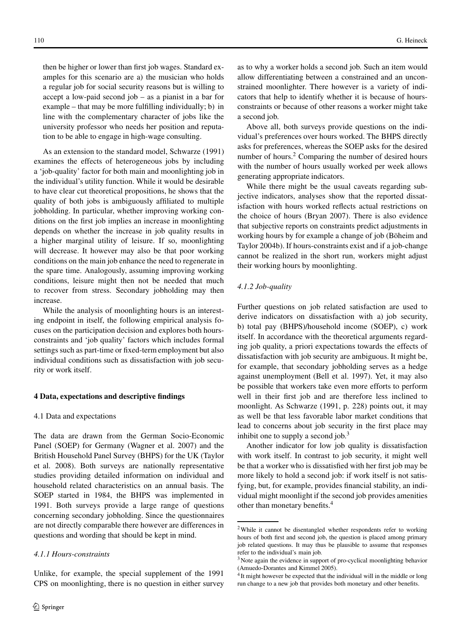then be higher or lower than first job wages. Standard examples for this scenario are a) the musician who holds a regular job for social security reasons but is willing to accept a low-paid second job – as a pianist in a bar for example – that may be more fulfilling individually; b) in line with the complementary character of jobs like the university professor who needs her position and reputation to be able to engage in high-wage consulting.

As an extension to the standard model, Schwarze (1991) examines the effects of heterogeneous jobs by including a 'job-quality' factor for both main and moonlighting job in the individual's utility function. While it would be desirable to have clear cut theoretical propositions, he shows that the quality of both jobs is ambiguously affiliated to multiple jobholding. In particular, whether improving working conditions on the first job implies an increase in moonlighting depends on whether the increase in job quality results in a higher marginal utility of leisure. If so, moonlighting will decrease. It however may also be that poor working conditions on the main job enhance the need to regenerate in the spare time. Analogously, assuming improving working conditions, leisure might then not be needed that much to recover from stress. Secondary jobholding may then increase.

While the analysis of moonlighting hours is an interesting endpoint in itself, the following empirical analysis focuses on the participation decision and explores both hoursconstraints and 'job quality' factors which includes formal settings such as part-time or fixed-term employment but also individual conditions such as dissatisfaction with job security or work itself.

#### **4 Data, expectations and descriptive findings**

# 4.1 Data and expectations

The data are drawn from the German Socio-Economic Panel (SOEP) for Germany (Wagner et al. 2007) and the British Household Panel Survey (BHPS) for the UK (Taylor et al. 2008). Both surveys are nationally representative studies providing detailed information on individual and household related characteristics on an annual basis. The SOEP started in 1984, the BHPS was implemented in 1991. Both surveys provide a large range of questions concerning secondary jobholding. Since the questionnaires are not directly comparable there however are differences in questions and wording that should be kept in mind.

# *4.1.1 Hours-constraints*

Unlike, for example, the special supplement of the 1991 CPS on moonlighting, there is no question in either survey as to why a worker holds a second job. Such an item would allow differentiating between a constrained and an unconstrained moonlighter. There however is a variety of indicators that help to identify whether it is because of hoursconstraints or because of other reasons a worker might take a second job.

Above all, both surveys provide questions on the individual's preferences over hours worked. The BHPS directly asks for preferences, whereas the SOEP asks for the desired number of hours.<sup>2</sup> Comparing the number of desired hours with the number of hours usually worked per week allows generating appropriate indicators.

While there might be the usual caveats regarding subjective indicators, analyses show that the reported dissatisfaction with hours worked reflects actual restrictions on the choice of hours (Bryan 2007). There is also evidence that subjective reports on constraints predict adjustments in working hours by for example a change of job (Böheim and Taylor 2004b). If hours-constraints exist and if a job-change cannot be realized in the short run, workers might adjust their working hours by moonlighting.

# *4.1.2 Job-quality*

Further questions on job related satisfaction are used to derive indicators on dissatisfaction with a) job security, b) total pay (BHPS)/household income (SOEP), c) work itself. In accordance with the theoretical arguments regarding job quality, a priori expectations towards the effects of dissatisfaction with job security are ambiguous. It might be, for example, that secondary jobholding serves as a hedge against unemployment (Bell et al. 1997). Yet, it may also be possible that workers take even more efforts to perform well in their first job and are therefore less inclined to moonlight. As Schwarze (1991, p. 228) points out, it may as well be that less favorable labor market conditions that lead to concerns about job security in the first place may inhibit one to supply a second job. $3$ 

Another indicator for low job quality is dissatisfaction with work itself. In contrast to job security, it might well be that a worker who is dissatisfied with her first job may be more likely to hold a second job: if work itself is not satisfying, but, for example, provides financial stability, an individual might moonlight if the second job provides amenities other than monetary benefits.<sup>4</sup>

<sup>2</sup>While it cannot be disentangled whether respondents refer to working hours of both first and second job, the question is placed among primary job related questions. It may thus be plausible to assume that responses refer to the individual's main job.

<sup>&</sup>lt;sup>3</sup>Note again the evidence in support of pro-cyclical moonlighting behavior (Amuedo-Dorantes and Kimmel 2005).

<sup>&</sup>lt;sup>4</sup> It might however be expected that the individual will in the middle or long run change to a new job that provides both monetary and other benefits.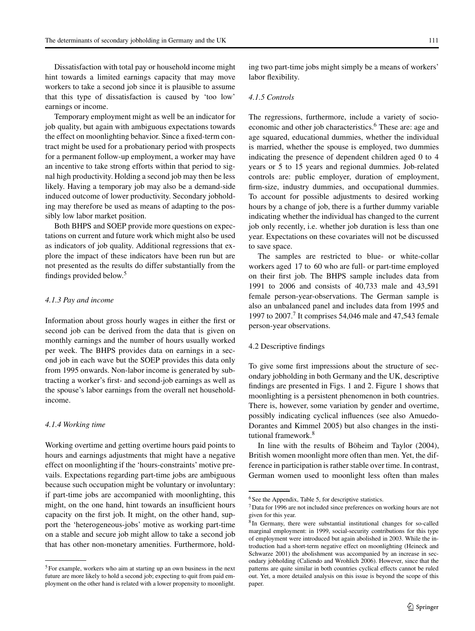Dissatisfaction with total pay or household income might hint towards a limited earnings capacity that may move workers to take a second job since it is plausible to assume that this type of dissatisfaction is caused by 'too low' earnings or income.

Temporary employment might as well be an indicator for job quality, but again with ambiguous expectations towards the effect on moonlighting behavior. Since a fixed-term contract might be used for a probationary period with prospects for a permanent follow-up employment, a worker may have an incentive to take strong efforts within that period to signal high productivity. Holding a second job may then be less likely. Having a temporary job may also be a demand-side induced outcome of lower productivity. Secondary jobholding may therefore be used as means of adapting to the possibly low labor market position.

Both BHPS and SOEP provide more questions on expectations on current and future work which might also be used as indicators of job quality. Additional regressions that explore the impact of these indicators have been run but are not presented as the results do differ substantially from the findings provided below.<sup>5</sup>

#### *4.1.3 Pay and income*

Information about gross hourly wages in either the first or second job can be derived from the data that is given on monthly earnings and the number of hours usually worked per week. The BHPS provides data on earnings in a second job in each wave but the SOEP provides this data only from 1995 onwards. Non-labor income is generated by subtracting a worker's first- and second-job earnings as well as the spouse's labor earnings from the overall net householdincome.

#### *4.1.4 Working time*

Working overtime and getting overtime hours paid points to hours and earnings adjustments that might have a negative effect on moonlighting if the 'hours-constraints' motive prevails. Expectations regarding part-time jobs are ambiguous because such occupation might be voluntary or involuntary: if part-time jobs are accompanied with moonlighting, this might, on the one hand, hint towards an insufficient hours capacity on the first job. It might, on the other hand, support the 'heterogeneous-jobs' motive as working part-time on a stable and secure job might allow to take a second job that has other non-monetary amenities. Furthermore, holding two part-time jobs might simply be a means of workers' labor flexibility.

# *4.1.5 Controls*

The regressions, furthermore, include a variety of socioeconomic and other job characteristics.<sup>6</sup> These are: age and age squared, educational dummies, whether the individual is married, whether the spouse is employed, two dummies indicating the presence of dependent children aged 0 to 4 years or 5 to 15 years and regional dummies. Job-related controls are: public employer, duration of employment, firm-size, industry dummies, and occupational dummies. To account for possible adjustments to desired working hours by a change of job, there is a further dummy variable indicating whether the individual has changed to the current job only recently, i.e. whether job duration is less than one year. Expectations on these covariates will not be discussed to save space.

The samples are restricted to blue- or white-collar workers aged 17 to 60 who are full- or part-time employed on their first job. The BHPS sample includes data from 1991 to 2006 and consists of 40,733 male and 43,591 female person-year-observations. The German sample is also an unbalanced panel and includes data from 1995 and 1997 to 2007.<sup>7</sup> It comprises 54,046 male and 47,543 female person-year observations.

# 4.2 Descriptive findings

To give some first impressions about the structure of secondary jobholding in both Germany and the UK, descriptive findings are presented in Figs. 1 and 2. Figure 1 shows that moonlighting is a persistent phenomenon in both countries. There is, however, some variation by gender and overtime, possibly indicating cyclical influences (see also Amuedo-Dorantes and Kimmel 2005) but also changes in the institutional framework.<sup>8</sup>

In line with the results of Böheim and Taylor (2004), British women moonlight more often than men. Yet, the difference in participation is rather stable over time. In contrast, German women used to moonlight less often than males

<sup>5</sup>For example, workers who aim at starting up an own business in the next future are more likely to hold a second job; expecting to quit from paid employment on the other hand is related with a lower propensity to moonlight.

 $6$  See the Appendix, Table 5, for descriptive statistics.

<sup>7</sup>Data for 1996 are not included since preferences on working hours are not given for this year.

<sup>8</sup> In Germany, there were substantial institutional changes for so-called marginal employment: in 1999, social-security contributions for this type of employment were introduced but again abolished in 2003. While the introduction had a short-term negative effect on moonlighting (Heineck and Schwarze 2001) the abolishment was accompanied by an increase in secondary jobholding (Caliendo and Wrohlich 2006). However, since that the patterns are quite similar in both countries cyclical effects cannot be ruled out. Yet, a more detailed analysis on this issue is beyond the scope of this paper.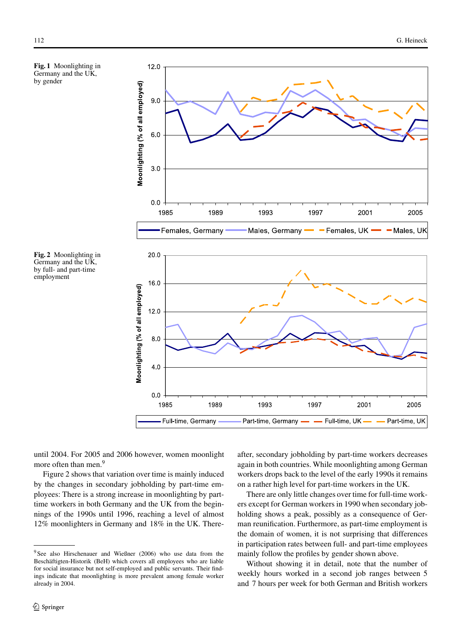







until 2004. For 2005 and 2006 however, women moonlight more often than men.<sup>9</sup>

Figure 2 shows that variation over time is mainly induced by the changes in secondary jobholding by part-time employees: There is a strong increase in moonlighting by parttime workers in both Germany and the UK from the beginnings of the 1990s until 1996, reaching a level of almost 12% moonlighters in Germany and 18% in the UK. Thereafter, secondary jobholding by part-time workers decreases again in both countries. While moonlighting among German workers drops back to the level of the early 1990s it remains on a rather high level for part-time workers in the UK.

There are only little changes over time for full-time workers except for German workers in 1990 when secondary jobholding shows a peak, possibly as a consequence of German reunification. Furthermore, as part-time employment is the domain of women, it is not surprising that differences in participation rates between full- and part-time employees mainly follow the profiles by gender shown above.

Without showing it in detail, note that the number of weekly hours worked in a second job ranges between 5 and 7 hours per week for both German and British workers

<sup>&</sup>lt;sup>9</sup>See also Hirschenauer and Wießner (2006) who use data from the Beschäftigten-Historik (BeH) which covers all employees who are liable for social insurance but not self-employed and public servants. Their findings indicate that moonlighting is more prevalent among female worker already in 2004.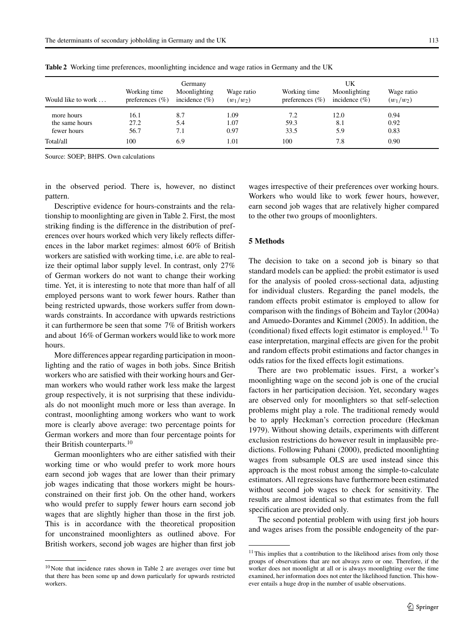| Would like to work | Working time<br>preferences $(\% )$ | Germany<br>Moonlighting<br>incidence $(\% )$ | Wage ratio<br>$(w_1/w_2)$ | Working time<br>preferences $(\% )$ | UK<br>Moonlighting<br>incidence $(\% )$ | Wage ratio<br>$(w_1/w_2)$ |
|--------------------|-------------------------------------|----------------------------------------------|---------------------------|-------------------------------------|-----------------------------------------|---------------------------|
| more hours         | 16.1                                | 8.7                                          | 1.09                      | 7.2                                 | 12.0                                    | 0.94                      |
| the same hours     | 27.2                                | 5.4                                          | 1.07                      | 59.3                                | 8.1                                     | 0.92                      |
| fewer hours        | 56.7                                | 7.1                                          | 0.97                      | 33.5                                | 5.9                                     | 0.83                      |
| Total/all          | 100                                 | 6.9                                          | 1.01                      | 100                                 | 7.8                                     | 0.90                      |

**Table 2** Working time preferences, moonlighting incidence and wage ratios in Germany and the UK

Source: SOEP; BHPS. Own calculations

in the observed period. There is, however, no distinct pattern.

Descriptive evidence for hours-constraints and the relationship to moonlighting are given in Table 2. First, the most striking finding is the difference in the distribution of preferences over hours worked which very likely reflects differences in the labor market regimes: almost 60% of British workers are satisfied with working time, i.e. are able to realize their optimal labor supply level. In contrast, only 27% of German workers do not want to change their working time. Yet, it is interesting to note that more than half of all employed persons want to work fewer hours. Rather than being restricted upwards, those workers suffer from downwards constraints. In accordance with upwards restrictions it can furthermore be seen that some 7% of British workers and about 16% of German workers would like to work more hours.

More differences appear regarding participation in moonlighting and the ratio of wages in both jobs. Since British workers who are satisfied with their working hours and German workers who would rather work less make the largest group respectively, it is not surprising that these individuals do not moonlight much more or less than average. In contrast, moonlighting among workers who want to work more is clearly above average: two percentage points for German workers and more than four percentage points for their British counterparts.<sup>10</sup>

German moonlighters who are either satisfied with their working time or who would prefer to work more hours earn second job wages that are lower than their primary job wages indicating that those workers might be hoursconstrained on their first job. On the other hand, workers who would prefer to supply fewer hours earn second job wages that are slightly higher than those in the first job. This is in accordance with the theoretical proposition for unconstrained moonlighters as outlined above. For British workers, second job wages are higher than first job

wages irrespective of their preferences over working hours. Workers who would like to work fewer hours, however, earn second job wages that are relatively higher compared to the other two groups of moonlighters.

#### **5 Methods**

The decision to take on a second job is binary so that standard models can be applied: the probit estimator is used for the analysis of pooled cross-sectional data, adjusting for individual clusters. Regarding the panel models, the random effects probit estimator is employed to allow for comparison with the findings of Böheim and Taylor (2004a) and Amuedo-Dorantes and Kimmel (2005). In addition, the (conditional) fixed effects logit estimator is employed.<sup>11</sup> To ease interpretation, marginal effects are given for the probit and random effects probit estimations and factor changes in odds ratios for the fixed effects logit estimations.

There are two problematic issues. First, a worker's moonlighting wage on the second job is one of the crucial factors in her participation decision. Yet, secondary wages are observed only for moonlighters so that self-selection problems might play a role. The traditional remedy would be to apply Heckman's correction procedure (Heckman 1979). Without showing details, experiments with different exclusion restrictions do however result in implausible predictions. Following Puhani (2000), predicted moonlighting wages from subsample OLS are used instead since this approach is the most robust among the simple-to-calculate estimators. All regressions have furthermore been estimated without second job wages to check for sensitivity. The results are almost identical so that estimates from the full specification are provided only.

The second potential problem with using first job hours and wages arises from the possible endogeneity of the par-

 $10$ Note that incidence rates shown in Table 2 are averages over time but that there has been some up and down particularly for upwards restricted workers.

 $11$ This implies that a contribution to the likelihood arises from only those groups of observations that are not always zero or one. Therefore, if the worker does not moonlight at all or is always moonlighting over the time examined, her information does not enter the likelihood function. This however entails a huge drop in the number of usable observations.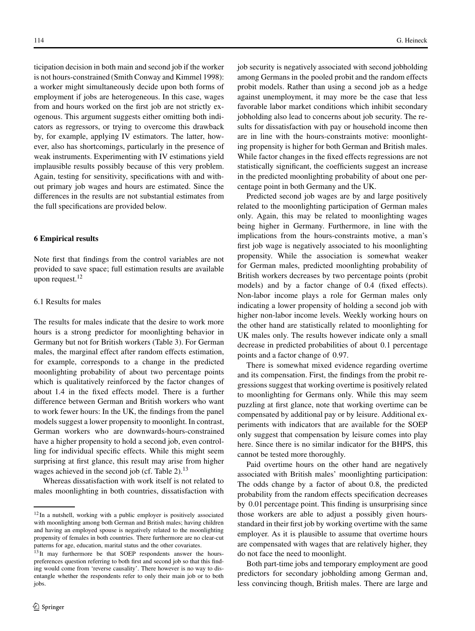ticipation decision in both main and second job if the worker is not hours-constrained (Smith Conway and Kimmel 1998): a worker might simultaneously decide upon both forms of employment if jobs are heterogeneous. In this case, wages from and hours worked on the first job are not strictly exogenous. This argument suggests either omitting both indicators as regressors, or trying to overcome this drawback by, for example, applying IV estimators. The latter, however, also has shortcomings, particularly in the presence of weak instruments. Experimenting with IV estimations yield implausible results possibly because of this very problem. Again, testing for sensitivity, specifications with and without primary job wages and hours are estimated. Since the differences in the results are not substantial estimates from the full specifications are provided below.

#### **6 Empirical results**

Note first that findings from the control variables are not provided to save space; full estimation results are available upon request.<sup>12</sup>

# 6.1 Results for males

The results for males indicate that the desire to work more hours is a strong predictor for moonlighting behavior in Germany but not for British workers (Table 3). For German males, the marginal effect after random effects estimation, for example, corresponds to a change in the predicted moonlighting probability of about two percentage points which is qualitatively reinforced by the factor changes of about 1.4 in the fixed effects model. There is a further difference between German and British workers who want to work fewer hours: In the UK, the findings from the panel models suggest a lower propensity to moonlight. In contrast, German workers who are downwards-hours-constrained have a higher propensity to hold a second job, even controlling for individual specific effects. While this might seem surprising at first glance, this result may arise from higher wages achieved in the second job (cf. Table  $2$ ).<sup>13</sup>

Whereas dissatisfaction with work itself is not related to males moonlighting in both countries, dissatisfaction with job security is negatively associated with second jobholding among Germans in the pooled probit and the random effects probit models. Rather than using a second job as a hedge against unemployment, it may more be the case that less favorable labor market conditions which inhibit secondary jobholding also lead to concerns about job security. The results for dissatisfaction with pay or household income then are in line with the hours-constraints motive: moonlighting propensity is higher for both German and British males. While factor changes in the fixed effects regressions are not statistically significant, the coefficients suggest an increase in the predicted moonlighting probability of about one percentage point in both Germany and the UK.

Predicted second job wages are by and large positively related to the moonlighting participation of German males only. Again, this may be related to moonlighting wages being higher in Germany. Furthermore, in line with the implications from the hours-constraints motive, a man's first job wage is negatively associated to his moonlighting propensity. While the association is somewhat weaker for German males, predicted moonlighting probability of British workers decreases by two percentage points (probit models) and by a factor change of 0.4 (fixed effects). Non-labor income plays a role for German males only indicating a lower propensity of holding a second job with higher non-labor income levels. Weekly working hours on the other hand are statistically related to moonlighting for UK males only. The results however indicate only a small decrease in predicted probabilities of about 0.1 percentage points and a factor change of 0.97.

There is somewhat mixed evidence regarding overtime and its compensation. First, the findings from the probit regressions suggest that working overtime is positively related to moonlighting for Germans only. While this may seem puzzling at first glance, note that working overtime can be compensated by additional pay or by leisure. Additional experiments with indicators that are available for the SOEP only suggest that compensation by leisure comes into play here. Since there is no similar indicator for the BHPS, this cannot be tested more thoroughly.

Paid overtime hours on the other hand are negatively associated with British males' moonlighting participation: The odds change by a factor of about 0.8, the predicted probability from the random effects specification decreases by 0.01 percentage point. This finding is unsurprising since those workers are able to adjust a possibly given hoursstandard in their first job by working overtime with the same employer. As it is plausible to assume that overtime hours are compensated with wages that are relatively higher, they do not face the need to moonlight.

Both part-time jobs and temporary employment are good predictors for secondary jobholding among German and, less convincing though, British males. There are large and

 $12$  In a nutshell, working with a public employer is positively associated with moonlighting among both German and British males; having children and having an employed spouse is negatively related to the moonlighting propensity of females in both countries. There furthermore are no clear-cut patterns for age, education, marital status and the other covariates.

<sup>&</sup>lt;sup>13</sup> It may furthermore be that SOEP respondents answer the hourspreferences question referring to both first and second job so that this finding would come from 'reverse causality'. There however is no way to disentangle whether the respondents refer to only their main job or to both jobs.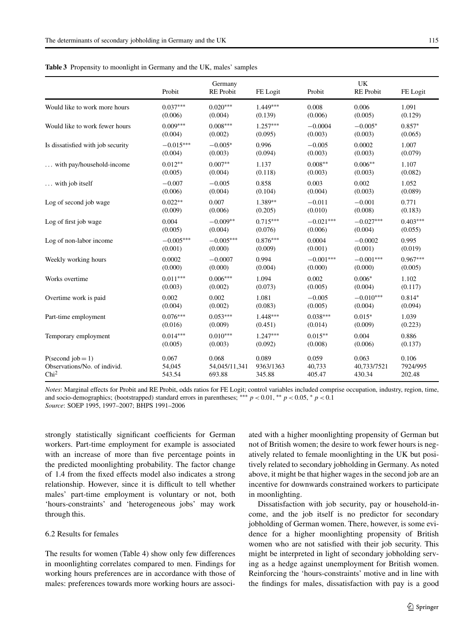|                                   | Probit      | Germany<br><b>RE</b> Probit | FE Logit   | Probit      | UK<br><b>RE</b> Probit | FE Logit   |
|-----------------------------------|-------------|-----------------------------|------------|-------------|------------------------|------------|
| Would like to work more hours     | $0.037***$  | $0.020***$                  | $1.449***$ | 0.008       | 0.006                  | 1.091      |
|                                   | (0.006)     | (0.004)                     | (0.139)    | (0.006)     | (0.005)                | (0.129)    |
| Would like to work fewer hours    | $0.009***$  | $0.008***$                  | $1.257***$ | $-0.0004$   | $-0.005*$              | $0.857*$   |
|                                   | (0.004)     | (0.002)                     | (0.095)    | (0.003)     | (0.003)                | (0.065)    |
| Is dissatisfied with job security | $-0.015***$ | $-0.005*$                   | 0.996      | $-0.005$    | 0.0002                 | 1.007      |
|                                   | (0.004)     | (0.003)                     | (0.094)    | (0.003)     | (0.003)                | (0.079)    |
| with pay/household-income         | $0.012**$   | $0.007**$                   | 1.137      | $0.008**$   | $0.006**$              | 1.107      |
|                                   | (0.005)     | (0.004)                     | (0.118)    | (0.003)     | (0.003)                | (0.082)    |
| $\ldots$ with job itself          | $-0.007$    | $-0.005$                    | 0.858      | 0.003       | 0.002                  | 1.052      |
|                                   | (0.006)     | (0.004)                     | (0.104)    | (0.004)     | (0.003)                | (0.089)    |
| Log of second job wage            | $0.022**$   | 0.007                       | $1.389**$  | $-0.011$    | $-0.001$               | 0.771      |
|                                   | (0.009)     | (0.006)                     | (0.205)    | (0.010)     | (0.008)                | (0.183)    |
| Log of first job wage             | 0.004       | $-0.009**$                  | $0.715***$ | $-0.021***$ | $-0.027***$            | $0.403***$ |
|                                   | (0.005)     | (0.004)                     | (0.076)    | (0.006)     | (0.004)                | (0.055)    |
| Log of non-labor income           | $-0.005***$ | $-0.005***$                 | $0.876***$ | 0.0004      | $-0.0002$              | 0.995      |
|                                   | (0.001)     | (0.000)                     | (0.009)    | (0.001)     | (0.001)                | (0.019)    |
| Weekly working hours              | 0.0002      | $-0.0007$                   | 0.994      | $-0.001***$ | $-0.001***$            | $0.967***$ |
|                                   | (0.000)     | (0.000)                     | (0.004)    | (0.000)     | (0.000)                | (0.005)    |
| Works overtime                    | $0.011***$  | $0.006***$                  | 1.094      | 0.002       | $0.006*$               | 1.102      |
|                                   | (0.003)     | (0.002)                     | (0.073)    | (0.005)     | (0.004)                | (0.117)    |
| Overtime work is paid             | 0.002       | 0.002                       | 1.081      | $-0.005$    | $-0.010***$            | $0.814*$   |
|                                   | (0.004)     | (0.002)                     | (0.083)    | (0.005)     | (0.004)                | (0.094)    |
| Part-time employment              | $0.076***$  | $0.053***$                  | $1.448***$ | $0.038***$  | $0.015*$               | 1.039      |
|                                   | (0.016)     | (0.009)                     | (0.451)    | (0.014)     | (0.009)                | (0.223)    |
| Temporary employment              | $0.014***$  | $0.010***$                  | $1.247***$ | $0.015**$   | 0.004                  | 0.886      |
|                                   | (0.005)     | (0.003)                     | (0.092)    | (0.008)     | (0.006)                | (0.137)    |
| $P$ (second job = 1)              | 0.067       | 0.068                       | 0.089      | 0.059       | 0.063                  | 0.106      |
| Observations/No. of individ.      | 54,045      | 54,045/11,341               | 9363/1363  | 40,733      | 40,733/7521            | 7924/995   |
| Chi <sup>2</sup>                  | 543.54      | 693.88                      | 345.88     | 405.47      | 430.34                 | 202.48     |

**Table 3** Propensity to moonlight in Germany and the UK, males' samples

*Notes*: Marginal effects for Probit and RE Probit, odds ratios for FE Logit; control variables included comprise occupation, industry, region, time, and socio-demographics; (bootstrapped) standard errors in parentheses; ∗∗∗ *p <* 0.01, ∗∗ *p <* 0.05, ∗ *p <*0.1 *Source*: SOEP 1995, 1997–2007; BHPS 1991–2006

strongly statistically significant coefficients for German workers. Part-time employment for example is associated with an increase of more than five percentage points in the predicted moonlighting probability. The factor change of 1.4 from the fixed effects model also indicates a strong relationship. However, since it is difficult to tell whether males' part-time employment is voluntary or not, both 'hours-constraints' and 'heterogeneous jobs' may work through this.

# 6.2 Results for females

The results for women (Table 4) show only few differences in moonlighting correlates compared to men. Findings for working hours preferences are in accordance with those of males: preferences towards more working hours are associated with a higher moonlighting propensity of German but not of British women; the desire to work fewer hours is negatively related to female moonlighting in the UK but positively related to secondary jobholding in Germany. As noted above, it might be that higher wages in the second job are an incentive for downwards constrained workers to participate in moonlighting.

Dissatisfaction with job security, pay or household-income, and the job itself is no predictor for secondary jobholding of German women. There, however, is some evidence for a higher moonlighting propensity of British women who are not satisfied with their job security. This might be interpreted in light of secondary jobholding serving as a hedge against unemployment for British women. Reinforcing the 'hours-constraints' motive and in line with the findings for males, dissatisfaction with pay is a good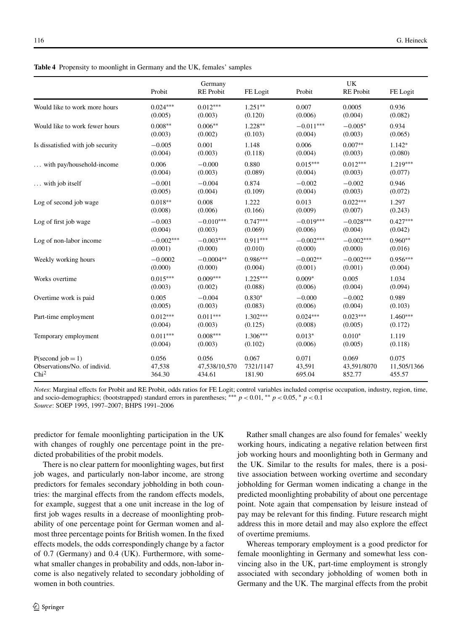|                                   | Probit      | Germany<br><b>RE</b> Probit | FE Logit   | Probit      | <b>UK</b><br><b>RE</b> Probit | FE Logit    |
|-----------------------------------|-------------|-----------------------------|------------|-------------|-------------------------------|-------------|
| Would like to work more hours     | $0.024***$  | $0.012***$                  | $1.251**$  | 0.007       | 0.0005                        | 0.936       |
|                                   | (0.005)     | (0.003)                     | (0.120)    | (0.006)     | (0.004)                       | (0.082)     |
| Would like to work fewer hours    | $0.008**$   | $0.006**$                   | $1.228**$  | $-0.011***$ | $-0.005*$                     | 0.934       |
|                                   | (0.003)     | (0.002)                     | (0.103)    | (0.004)     | (0.003)                       | (0.065)     |
| Is dissatisfied with job security | $-0.005$    | 0.001                       | 1.148      | 0.006       | $0.007**$                     | $1.142*$    |
|                                   | (0.004)     | (0.003)                     | (0.118)    | (0.004)     | (0.003)                       | (0.080)     |
| with pay/household-income         | 0.006       | $-0.000$                    | 0.880      | $0.015***$  | $0.012***$                    | $1.219***$  |
|                                   | (0.004)     | (0.003)                     | (0.089)    | (0.004)     | (0.003)                       | (0.077)     |
| $\ldots$ with job itself          | $-0.001$    | $-0.004$                    | 0.874      | $-0.002$    | $-0.002$                      | 0.946       |
|                                   | (0.005)     | (0.004)                     | (0.109)    | (0.004)     | (0.003)                       | (0.072)     |
| Log of second job wage            | $0.018**$   | 0.008                       | 1.222      | 0.013       | $0.022***$                    | 1.297       |
|                                   | (0.008)     | (0.006)                     | (0.166)    | (0.009)     | (0.007)                       | (0.243)     |
| Log of first job wage             | $-0.003$    | $-0.010***$                 | $0.747***$ | $-0.019***$ | $-0.028***$                   | $0.427***$  |
|                                   | (0.004)     | (0.003)                     | (0.069)    | (0.006)     | (0.004)                       | (0.042)     |
| Log of non-labor income           | $-0.002***$ | $-0.003***$                 | $0.911***$ | $-0.002***$ | $-0.002***$                   | $0.960**$   |
|                                   | (0.001)     | (0.000)                     | (0.010)    | (0.000)     | (0.000)                       | (0.016)     |
| Weekly working hours              | $-0.0002$   | $-0.0004**$                 | $0.986***$ | $-0.002**$  | $-0.002***$                   | $0.956***$  |
|                                   | (0.000)     | (0.000)                     | (0.004)    | (0.001)     | (0.001)                       | (0.004)     |
| Works overtime                    | $0.015***$  | $0.009***$                  | $1.225***$ | $0.009*$    | 0.005                         | 1.034       |
|                                   | (0.003)     | (0.002)                     | (0.088)    | (0.006)     | (0.004)                       | (0.094)     |
| Overtime work is paid             | 0.005       | $-0.004$                    | $0.830*$   | $-0.000$    | $-0.002$                      | 0.989       |
|                                   | (0.005)     | (0.003)                     | (0.083)    | (0.006)     | (0.004)                       | (0.103)     |
| Part-time employment              | $0.012***$  | $0.011***$                  | $1.302***$ | $0.024***$  | $0.023***$                    | $1.460***$  |
|                                   | (0.004)     | (0.003)                     | (0.125)    | (0.008)     | (0.005)                       | (0.172)     |
| Temporary employment              | $0.011***$  | $0.008***$                  | $1.306***$ | $0.013*$    | $0.010*$                      | 1.119       |
|                                   | (0.004)     | (0.003)                     | (0.102)    | (0.006)     | (0.005)                       | (0.118)     |
| $P$ (second job = 1)              | 0.056       | 0.056                       | 0.067      | 0.071       | 0.069                         | 0.075       |
| Observations/No. of individ.      | 47,538      | 47,538/10,570               | 7321/1147  | 43,591      | 43,591/8070                   | 11,505/1366 |
| Chi <sup>2</sup>                  | 364.30      | 434.61                      | 181.90     | 695.04      | 852.77                        | 455.57      |

**Table 4** Propensity to moonlight in Germany and the UK, females' samples

*Notes*: Marginal effects for Probit and RE Probit, odds ratios for FE Logit; control variables included comprise occupation, industry, region, time, and socio-demographics; (bootstrapped) standard errors in parentheses; ∗∗∗ *p <* 0.01, ∗∗ *p <* 0.05, ∗ *p <*0.1 *Source*: SOEP 1995, 1997–2007; BHPS 1991–2006

predictor for female moonlighting participation in the UK with changes of roughly one percentage point in the predicted probabilities of the probit models.

There is no clear pattern for moonlighting wages, but first job wages, and particularly non-labor income, are strong predictors for females secondary jobholding in both countries: the marginal effects from the random effects models, for example, suggest that a one unit increase in the log of first job wages results in a decrease of moonlighting probability of one percentage point for German women and almost three percentage points for British women. In the fixed effects models, the odds correspondingly change by a factor of 0.7 (Germany) and 0.4 (UK). Furthermore, with somewhat smaller changes in probability and odds, non-labor income is also negatively related to secondary jobholding of women in both countries.

Rather small changes are also found for females' weekly working hours, indicating a negative relation between first job working hours and moonlighting both in Germany and the UK. Similar to the results for males, there is a positive association between working overtime and secondary jobholding for German women indicating a change in the predicted moonlighting probability of about one percentage point. Note again that compensation by leisure instead of pay may be relevant for this finding. Future research might address this in more detail and may also explore the effect of overtime premiums.

Whereas temporary employment is a good predictor for female moonlighting in Germany and somewhat less convincing also in the UK, part-time employment is strongly associated with secondary jobholding of women both in Germany and the UK. The marginal effects from the probit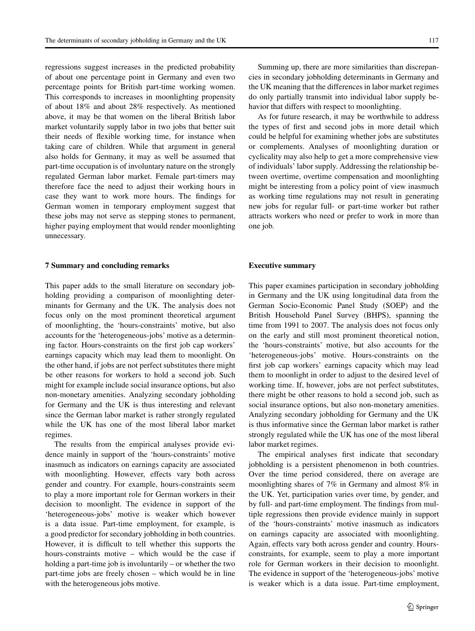regressions suggest increases in the predicted probability of about one percentage point in Germany and even two percentage points for British part-time working women. This corresponds to increases in moonlighting propensity of about 18% and about 28% respectively. As mentioned above, it may be that women on the liberal British labor market voluntarily supply labor in two jobs that better suit their needs of flexible working time, for instance when taking care of children. While that argument in general also holds for Germany, it may as well be assumed that part-time occupation is of involuntary nature on the strongly regulated German labor market. Female part-timers may therefore face the need to adjust their working hours in case they want to work more hours. The findings for German women in temporary employment suggest that these jobs may not serve as stepping stones to permanent, higher paying employment that would render moonlighting unnecessary.

# **7 Summary and concluding remarks**

This paper adds to the small literature on secondary jobholding providing a comparison of moonlighting determinants for Germany and the UK. The analysis does not focus only on the most prominent theoretical argument of moonlighting, the 'hours-constraints' motive, but also accounts for the 'heterogeneous-jobs' motive as a determining factor. Hours-constraints on the first job cap workers' earnings capacity which may lead them to moonlight. On the other hand, if jobs are not perfect substitutes there might be other reasons for workers to hold a second job. Such might for example include social insurance options, but also non-monetary amenities. Analyzing secondary jobholding for Germany and the UK is thus interesting and relevant since the German labor market is rather strongly regulated while the UK has one of the most liberal labor market regimes.

The results from the empirical analyses provide evidence mainly in support of the 'hours-constraints' motive inasmuch as indicators on earnings capacity are associated with moonlighting. However, effects vary both across gender and country. For example, hours-constraints seem to play a more important role for German workers in their decision to moonlight. The evidence in support of the 'heterogeneous-jobs' motive is weaker which however is a data issue. Part-time employment, for example, is a good predictor for secondary jobholding in both countries. However, it is difficult to tell whether this supports the hours-constraints motive – which would be the case if holding a part-time job is involuntarily – or whether the two part-time jobs are freely chosen – which would be in line with the heterogeneous jobs motive.

Summing up, there are more similarities than discrepancies in secondary jobholding determinants in Germany and the UK meaning that the differences in labor market regimes do only partially transmit into individual labor supply behavior that differs with respect to moonlighting.

As for future research, it may be worthwhile to address the types of first and second jobs in more detail which could be helpful for examining whether jobs are substitutes or complements. Analyses of moonlighting duration or cyclicality may also help to get a more comprehensive view of individuals' labor supply. Addressing the relationship between overtime, overtime compensation and moonlighting might be interesting from a policy point of view inasmuch as working time regulations may not result in generating new jobs for regular full- or part-time worker but rather attracts workers who need or prefer to work in more than one job.

#### **Executive summary**

This paper examines participation in secondary jobholding in Germany and the UK using longitudinal data from the German Socio-Economic Panel Study (SOEP) and the British Household Panel Survey (BHPS), spanning the time from 1991 to 2007. The analysis does not focus only on the early and still most prominent theoretical notion, the 'hours-constraints' motive, but also accounts for the 'heterogeneous-jobs' motive. Hours-constraints on the first job cap workers' earnings capacity which may lead them to moonlight in order to adjust to the desired level of working time. If, however, jobs are not perfect substitutes, there might be other reasons to hold a second job, such as social insurance options, but also non-monetary amenities. Analyzing secondary jobholding for Germany and the UK is thus informative since the German labor market is rather strongly regulated while the UK has one of the most liberal labor market regimes.

The empirical analyses first indicate that secondary jobholding is a persistent phenomenon in both countries. Over the time period considered, there on average are moonlighting shares of 7% in Germany and almost 8% in the UK. Yet, participation varies over time, by gender, and by full- and part-time employment. The findings from multiple regressions then provide evidence mainly in support of the 'hours-constraints' motive inasmuch as indicators on earnings capacity are associated with moonlighting. Again, effects vary both across gender and country. Hoursconstraints, for example, seem to play a more important role for German workers in their decision to moonlight. The evidence in support of the 'heterogeneous-jobs' motive is weaker which is a data issue. Part-time employment,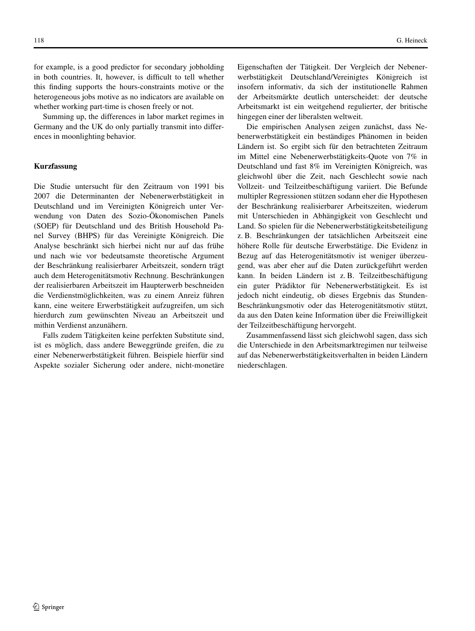for example, is a good predictor for secondary jobholding in both countries. It, however, is difficult to tell whether this finding supports the hours-constraints motive or the heterogeneous jobs motive as no indicators are available on whether working part-time is chosen freely or not.

Summing up, the differences in labor market regimes in Germany and the UK do only partially transmit into differences in moonlighting behavior.

# **Kurzfassung**

Die Studie untersucht für den Zeitraum von 1991 bis 2007 die Determinanten der Nebenerwerbstätigkeit in Deutschland und im Vereinigten Königreich unter Verwendung von Daten des Sozio-Ökonomischen Panels (SOEP) für Deutschland und des British Household Panel Survey (BHPS) für das Vereinigte Königreich. Die Analyse beschränkt sich hierbei nicht nur auf das frühe und nach wie vor bedeutsamste theoretische Argument der Beschränkung realisierbarer Arbeitszeit, sondern trägt auch dem Heterogenitätsmotiv Rechnung. Beschränkungen der realisierbaren Arbeitszeit im Haupterwerb beschneiden die Verdienstmöglichkeiten, was zu einem Anreiz führen kann, eine weitere Erwerbstätigkeit aufzugreifen, um sich hierdurch zum gewünschten Niveau an Arbeitszeit und mithin Verdienst anzunähern.

Falls zudem Tätigkeiten keine perfekten Substitute sind, ist es möglich, dass andere Beweggründe greifen, die zu einer Nebenerwerbstätigkeit führen. Beispiele hierfür sind Aspekte sozialer Sicherung oder andere, nicht-monetäre Eigenschaften der Tätigkeit. Der Vergleich der Nebenerwerbstätigkeit Deutschland/Vereinigtes Königreich ist insofern informativ, da sich der institutionelle Rahmen der Arbeitsmärkte deutlich unterscheidet: der deutsche Arbeitsmarkt ist ein weitgehend regulierter, der britische hingegen einer der liberalsten weltweit.

Die empirischen Analysen zeigen zunächst, dass Nebenerwerbstätigkeit ein beständiges Phänomen in beiden Ländern ist. So ergibt sich für den betrachteten Zeitraum im Mittel eine Nebenerwerbstätigkeits-Quote von 7% in Deutschland und fast 8% im Vereinigten Königreich, was gleichwohl über die Zeit, nach Geschlecht sowie nach Vollzeit- und Teilzeitbeschäftigung variiert. Die Befunde multipler Regressionen stützen sodann eher die Hypothesen der Beschränkung realisierbarer Arbeitszeiten, wiederum mit Unterschieden in Abhängigkeit von Geschlecht und Land. So spielen für die Nebenerwerbstätigkeitsbeteiligung z. B. Beschränkungen der tatsächlichen Arbeitszeit eine höhere Rolle für deutsche Erwerbstätige. Die Evidenz in Bezug auf das Heterogenitätsmotiv ist weniger überzeugend, was aber eher auf die Daten zurückgeführt werden kann. In beiden Ländern ist z. B. Teilzeitbeschäftigung ein guter Prädiktor für Nebenerwerbstätigkeit. Es ist jedoch nicht eindeutig, ob dieses Ergebnis das Stunden-Beschränkungsmotiv oder das Heterogenitätsmotiv stützt, da aus den Daten keine Information über die Freiwilligkeit der Teilzeitbeschäftigung hervorgeht.

Zusammenfassend lässt sich gleichwohl sagen, dass sich die Unterschiede in den Arbeitsmarktregimen nur teilweise auf das Nebenerwerbstätigkeitsverhalten in beiden Ländern niederschlagen.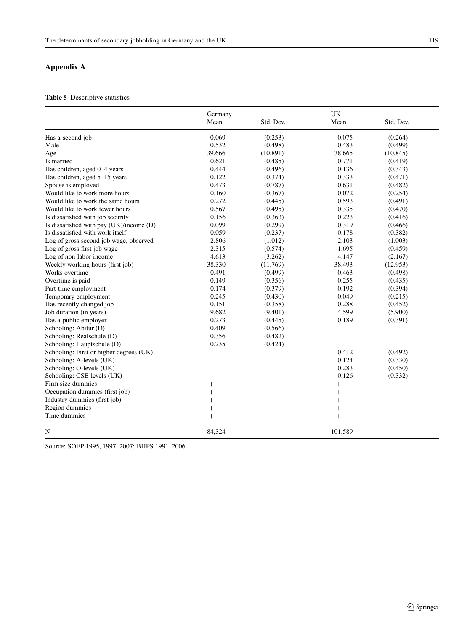# **Appendix A**

# **Table 5** Descriptive statistics

|                                          | Germany<br>Mean | Std. Dev. | UK<br>Mean | Std. Dev.                |
|------------------------------------------|-----------------|-----------|------------|--------------------------|
|                                          |                 |           |            |                          |
| Has a second job                         | 0.069           | (0.253)   | 0.075      | (0.264)                  |
| Male                                     | 0.532           | (0.498)   | 0.483      | (0.499)                  |
| Age                                      | 39.666          | (10.891)  | 38.665     | (10.845)                 |
| Is married                               | 0.621           | (0.485)   | 0.771      | (0.419)                  |
| Has children, aged 0-4 years             | 0.444           | (0.496)   | 0.136      | (0.343)                  |
| Has children, aged 5-15 years            | 0.122           | (0.374)   | 0.333      | (0.471)                  |
| Spouse is employed                       | 0.473           | (0.787)   | 0.631      | (0.482)                  |
| Would like to work more hours            | 0.160           | (0.367)   | 0.072      | (0.254)                  |
| Would like to work the same hours        | 0.272           | (0.445)   | 0.593      | (0.491)                  |
| Would like to work fewer hours           | 0.567           | (0.495)   | 0.335      | (0.470)                  |
| Is dissatisfied with job security        | 0.156           | (0.363)   | 0.223      | (0.416)                  |
| Is dissatisfied with pay (UK)/income (D) | 0.099           | (0.299)   | 0.319      | (0.466)                  |
| Is dissatisfied with work itself         | 0.059           | (0.237)   | 0.178      | (0.382)                  |
| Log of gross second job wage, observed   | 2.806           | (1.012)   | 2.103      | (1.003)                  |
| Log of gross first job wage              | 2.315           | (0.574)   | 1.695      | (0.459)                  |
| Log of non-labor income                  | 4.613           | (3.262)   | 4.147      | (2.167)                  |
| Weekly working hours (first job)         | 38.330          | (11.769)  | 38.493     | (12.953)                 |
| Works overtime                           | 0.491           | (0.499)   | 0.463      | (0.498)                  |
| Overtime is paid                         | 0.149           | (0.356)   | 0.255      | (0.435)                  |
| Part-time employment                     | 0.174           | (0.379)   | 0.192      | (0.394)                  |
| Temporary employment                     | 0.245           | (0.430)   | 0.049      | (0.215)                  |
| Has recently changed job                 | 0.151           | (0.358)   | 0.288      | (0.452)                  |
| Job duration (in years)                  | 9.682           | (9.401)   | 4.599      | (5.900)                  |
| Has a public employer                    | 0.273           | (0.445)   | 0.189      | (0.391)                  |
| Schooling: Abitur (D)                    | 0.409           | (0.566)   | $\equiv$   | $\overline{\phantom{0}}$ |
| Schooling: Realschule (D)                | 0.356           | (0.482)   |            |                          |
| Schooling: Hauptschule (D)               | 0.235           | (0.424)   |            |                          |
| Schooling: First or higher degrees (UK)  |                 |           | 0.412      | (0.492)                  |
| Schooling: A-levels (UK)                 |                 |           | 0.124      | (0.330)                  |
| Schooling: O-levels (UK)                 |                 |           | 0.283      | (0.450)                  |
| Schooling: CSE-levels (UK)               |                 |           | 0.126      | (0.332)                  |
| Firm size dummies                        | $^{+}$          |           | $^{+}$     | $\qquad \qquad -$        |
| Occupation dummies (first job)           | $+$             |           | $^{+}$     |                          |
| Industry dummies (first job)             | $^{+}$          |           | $^{+}$     |                          |
| Region dummies                           | $^{+}$          |           | $\ddot{}$  |                          |
| Time dummies                             | $^{+}$          |           | $^{+}$     |                          |
| $\mathbf N$                              | 84,324          |           | 101,589    |                          |

Source: SOEP 1995, 1997–2007; BHPS 1991–2006